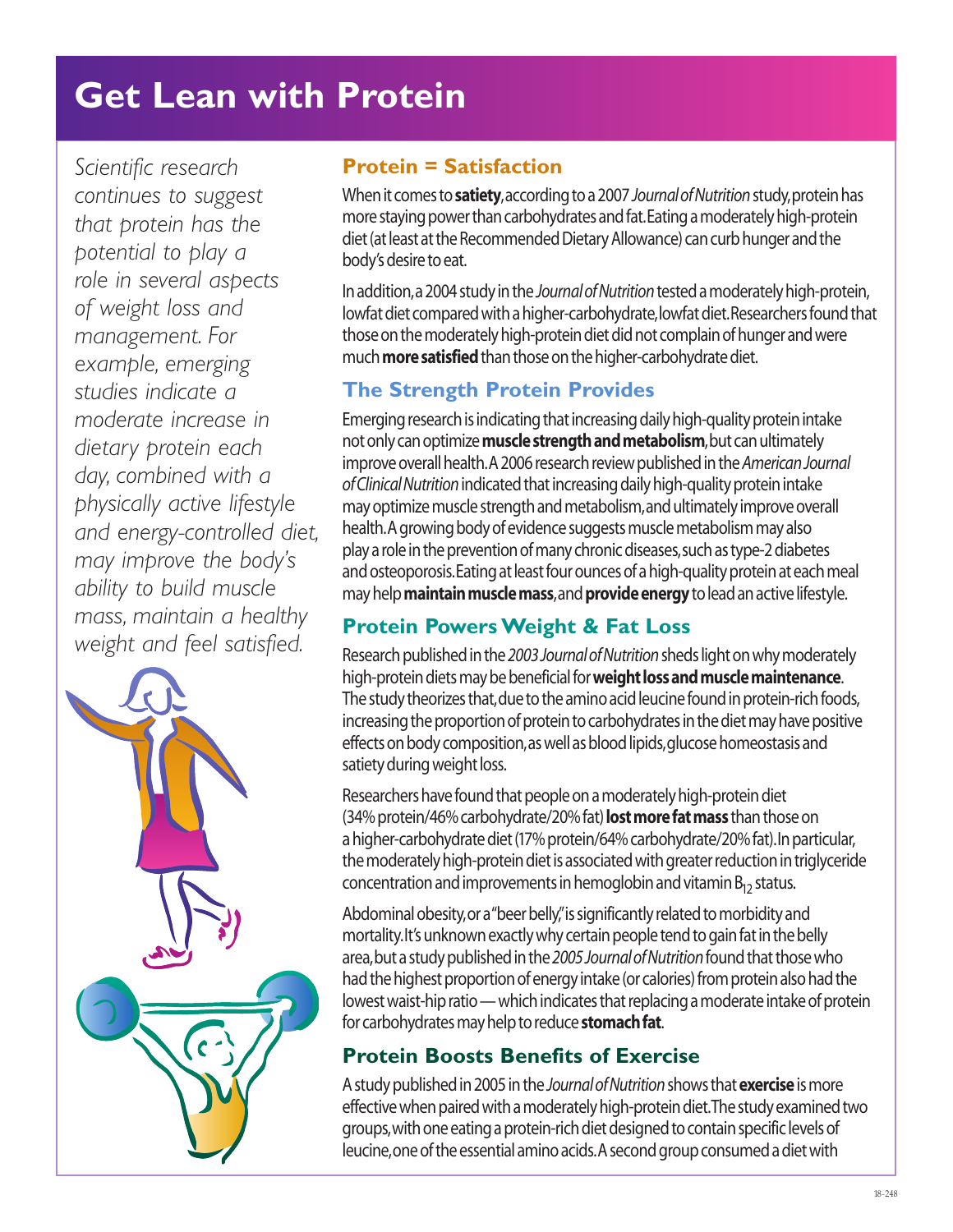# **Get Lean with Protein**

*Scientific research continues to suggest that protein has the potential to play a role in several aspects of weight loss and management. For example, emerging studies indicate a moderate increase in dietary protein each day, combined with a physically active lifestyle and energy-controlled diet, may improve the body's ability to build muscle mass, maintain a healthy weight and feel satisfied.*



## **Protein = Satisfaction**

When it comes to **satiety**, according to a 2007 *Journal of Nutrition*study, protein has more staying power than carbohydrates and fat. Eating a moderately high-protein diet (at least at the Recommended Dietary Allowance) can curb hunger and the body's desire to eat.

In addition, a 2004 study in the *Journal of Nutrition*tested a moderately high-protein, lowfat diet compared with a higher-carbohydrate, lowfat diet. Researchers found that those on the moderately high-protein diet did not complain of hunger and were much **more satisfied**than those on the higher-carbohydrate diet.

# **The Strength Protein Provides**

Emerging research is indicating that increasing daily high-quality protein intake not only can optimize **muscle strength and metabolism**, but can ultimately improve overall health. A 2006 research review published in the *American Journal of Clinical Nutrition*indicated that increasing daily high-quality protein intake may optimize muscle strength and metabolism, and ultimately improve overall health. A growing body of evidence suggests muscle metabolism may also play a role in the prevention of many chronic diseases, such as type-2 diabetes and osteoporosis. Eating at least four ounces of a high-quality protein at each meal may help **maintain muscle mass**, and **provide energy**to lead an active lifestyle.

# **Protein Powers Weight & Fat Loss**

Research published in the *2003 Journal of Nutrition*sheds light on why moderately high-protein diets may be beneficial for **weight loss and muscle maintenance**. The study theorizes that, due to the amino acid leucine found in protein-rich foods, increasing the proportion of protein to carbohydrates in the diet may have positive effects on body composition, as well as blood lipids, glucose homeostasis and satiety during weight loss.

Researchers have found that people on a moderately high-protein diet (34% protein/46% carbohydrate/20% fat) **lost more fat mass** than those on a higher-carbohydrate diet (17% protein/64% carbohydrate/20% fat). In particular, the moderately high-protein diet is associated with greater reduction in triglyceride concentration and improvements in hemoglobin and vitamin  $B_{12}$  status.

Abdominal obesity, or a "beer belly," is significantly related to morbidity and mortality. It's unknown exactly why certain people tend to gain fat in the belly area, but a study published in the *2005 Journal of Nutrition*found that those who had the highest proportion of energy intake (or calories) from protein also had the lowest waist-hip ratio — which indicates that replacing a moderate intake of protein for carbohydrates may help to reduce **stomach fat**.

# **Protein Boosts Benefits of Exercise**

A study published in 2005 in the *Journal of Nutrition*shows that **exercise**is more effective when paired with a moderately high-protein diet. The study examined two groups, with one eating a protein-rich diet designed to contain specific levels of leucine, one of the essential amino acids. A second group consumed a diet with